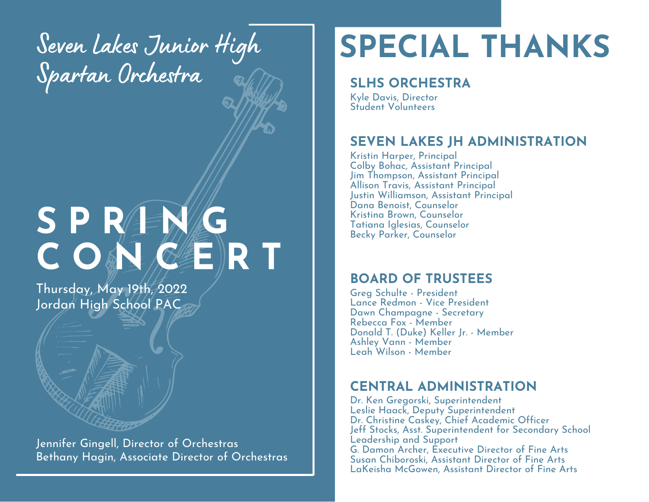Seven Lakes Junior High Spartan Orchestra

# **S P R I N G C O N C E R T**

Thursday, May 19th, 2022 Jordan High School PAC

Jennifer Gingell, Director of Orchestras Bethany Hagin, Associate Director of Orchestras

# **SPECIAL THANKS**

#### **SLHS ORCHESTRA**

Kyle Davis, Director Student Volunteers

#### **SEVEN LAKES JH ADMINISTRATION**

Kristin Harper, Principal Colby Bohac, Assistant Principal Jim Thompson, Assistant Principal Allison Travis, Assistant Principal Justin Williamson, Assistant Principal Dana Benoist, Counselor Kristina Brown, Counselor Tatiana Iglesias, Counselor Becky Parker, Counselor

#### **BOARD OF TRUSTEES**

Greg Schulte - President Lance Redmon - Vice President Dawn Champagne - Secretary Rebecca Fox - Member Donald T. (Duke) Keller Jr. - Member Ashley Vann - Member Leah Wilson - Member

#### **CENTRAL ADMINISTRATION**

Dr. Ken Gregorski, Superintendent Leslie Haack, Deputy Superintendent Dr. Christine Caskey, Chief Academic Officer Jeff Stocks, Asst. Superintendent for Secondary School Leadership and Support G. Damon Archer, Executive Director of Fine Arts Susan Chiboroski, Assistant Director of Fine Arts LaKeisha McGowen, Assistant Director of Fine Arts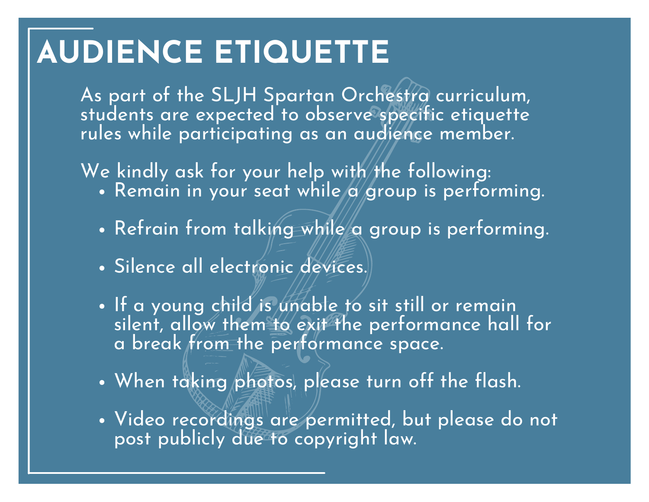# **AUDIENCE ETIQUETTE**

As part of the SLJH Spartan Orchestra curriculum, students are expected to observe specific etiquette rules while participating as an audience member.

We kindly ask for your help with the following:  $\,$ 

- Remain in your seat while  $\alpha$  group is performing.
- Refrain from talking while a group is performing.
- · Silence all electronic devices.
- . If a young child is unable to sit still or remain silent, allow them to exit the performance hall for a break from the performance space.
- When taking photos, please turn off the flash.
- Video recordings are permitted, but please do not post publicly due to copyright law.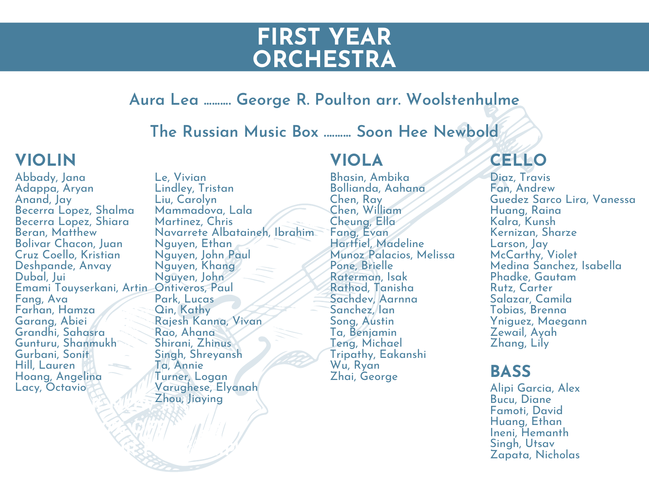### **FIRST YEAR ORCHESTRA**

#### **Aura Lea .......... George R. Poulton arr. Woolstenhulme**

**The Russian Music Box .......... Soon Hee Newbold**

#### **VIOLIN**

Abbady, Jana Adappa, Aryan Anand, Jay Becerra Lopez, Shalma Becerra Lopez, Shiara Beran, Matthew Bolivar Chacon, Juan Cruz Coello, Kristian Deshpande, Anvay Dubal, Jui Emami Touyserkani, Artin Ontiveros, Paul Fang, Ava Farhan, Hamza Garang, Abiei Grandhi, Sahasra Gunturu, Shanmukh Gurbani, Sonit Hill, Lauren Hoang, Angelina Lacy, Octavio

**GET 20% OFF**

**ON YOUR FIRST TRIP!**

**BOOK AND AND AND AND AND AND** Le, Vivian Lindley, Tristan Liu, Carolyn Mammadova, Lala Martinez, Chris Navarrete Albataineh, Ibrahim Nguyen, Ethan Nguyen, John Paul Nguyen, Khang Nguyen, John Park, Lucas Qin, Kathy Rajesh Kanna, Vivan Rao, Ahana Shirani, Zhinus Singh, Shreyansh Ta, Annie Turner, Logan Varughese, Elyanah Zhou, Jiaying

#### **VIOLA CELLO**

Bhasin, Ambika Bollianda, Aahana Chen, Ray Chen, William Cheung, Ella Fang, Evan Hartfiel, Madeline Munoz Palacios, Melissa Pone, Brielle Raterman, Isak Rathod, Tanisha Sachdev, Aarnna Sanchez, Ian Song, Austin Ta, Benjamin Teng, Michael Tripathy, Eakanshi Wu, Ryan Zhai, George

Diaz, Travis Fan, Andrew Guedez Sarco Lira, Vanessa Huang, Raina Kalra, Kunsh Kernizan, Sharze Larson, Jay McCarthy, Violet Medina Sanchez, Isabella Phadke, Gautam Rutz, Carter Salazar, Camila Tobias, Brenna Yniguez, Maegann Zewail, Ayah Zhang, Lily

#### **BASS**

Alipi Garcia, Alex Bucu, Diane Famoti, David Huang, Ethan Ineni, Hemanth Singh, Utsav Zapata, Nicholas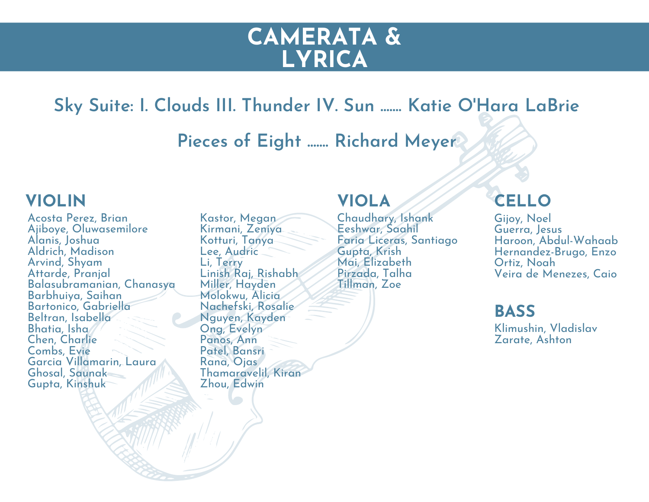### **CAMERATA & LYRICA**

**Sky Suite: I. Clouds III. Thunder IV. Sun ....... Katie O'Hara LaBrie**

**Pieces of Eight ....... Richard Meyer**

#### **VIOLIN**

Acosta Perez, Brian Ajiboye, Oluwasemilore Alanis, Joshua Aldrich, Madison Arvind, Shyam Attarde, Pranjal Balasubramanian, Chanasya Barbhuiya, Saihan Bartonico, Gabriella Beltran, Isabella Bhatia, Isha Chen, Charlie Combs, Evie Garcia Villamarin, Laura Ghosal, Saunak Gupta, Kinshuk

Kastor, Megan Kirmani, Zeniya Kotturi, Tanya Lee, Audric Li, Terry Linish Raj, Rishabh Miller, Hayden Molokwu, Alicia Nachefski, Rosalie Nguyen, Kayden Ong, Evelyn Panos, Ann Patel, Bansri Rana, Ojas Thamaravelil, Kiran Zhou, Edwin

#### **VIOLA**

Chaudhary, Ishank Eeshwar, Saahil Faria Liceras, Santiago Gupta, Krish Mai, Elizabeth Pirzada, Talha Tillman, Zoe

#### **CELLO**

Gijoy, Noel Guerra, Jesus Haroon, Abdul-Wahaab Hernandez-Brugo, Enzo Ortiz, Noah Veira de Menezes, Caio

**BASS**

Klimushin, Vladislav Zarate, Ashton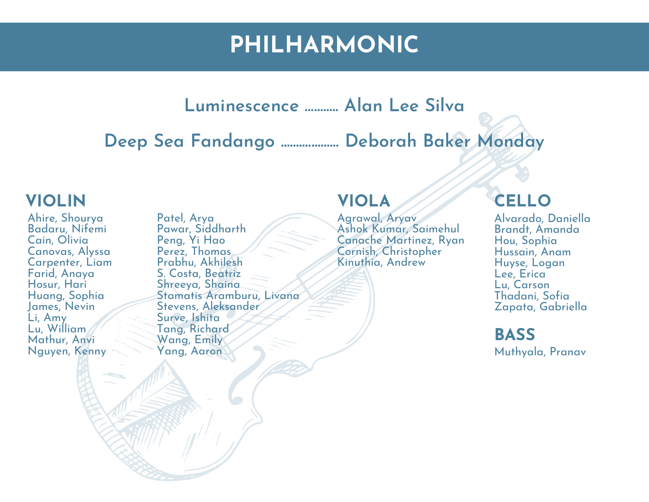## **PHILHARMONIC**

#### **Luminescence ........... Alan Lee Silva**

**Deep Sea Fandango ................... Deborah Baker Monday**

#### **VIOLIN**

Ahire, Shourya Badaru, Nifemi Cain, Olivia Canovas, Alyssa Carpenter, Liam Farid, Anaya Hosur, Hari Huang, Sophia James, Nevin Li, Amy Lu, William Mathur, Anvi Nguyen, Kenny

Patel, Arya Pawar, Siddharth Peng, Yi Hao Perez, Thomas Prabhu, Akhilesh S. Costa, Beatriz Shreeya, Shaina Stamatis Aramburu, Livana Stevens, Aleksander Surve, Ishita Tang, Richard Wang, Emily Yang, Aaron

#### **VIOLA**

Agrawal, Aryav Ashok Kumar, Saimehul Canache Martinez, Ryan Cornish, Christopher Kinuthia, Andrew

#### **CELLO**

Alvarado, Daniella Brandt, Amanda Hou, Sophia Hussain, Anam Huyse, Logan Lee, Erica Lu, Carson Thadani, Sofia Zapata, Gabriella

**BASS** Muthyala, Pranav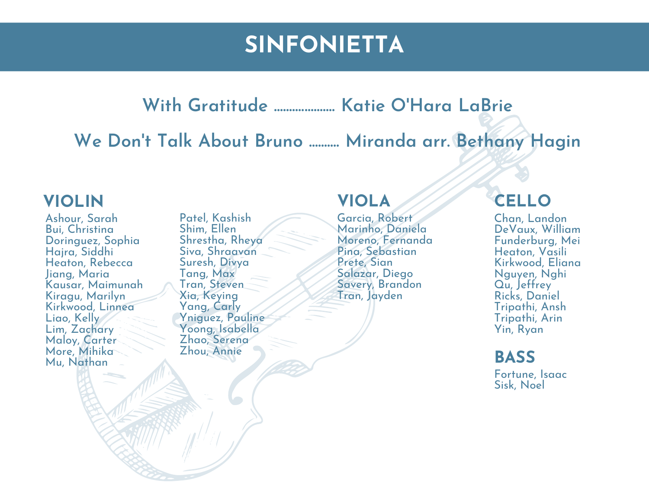# **SINFONIETTA**

**With Gratitude .................... Katie O'Hara LaBrie**

**We Don 't Talk About Bruno .......... Miranda arr. Bethany Hagin**

#### **VIOLIN**

Ashour, Sarah Bui, Christina Doringuez, Sophia Hajra, Siddhi Heaton, Rebecca Jiang, Maria Kausar, Maimunah Kiragu, Marilyn Kirkwood, Linnea Liao, Kelly Lim, Zachary Maloy, Carter More, Mihika Mu, Nathan

Patel, Kashish Shim, Ellen Shrestha, Rheya Siva, Shraavan Suresh, Divya Tang, Max Tran, Steven Xia, Keying Yang, Carly Yniguez, Pauline Yoong, Isabella Zhao, Serena Zhou, Annie

#### **VIOLA**

Garcia, Robert Marinho, Daniela Moreno, Fernanda Pina, Sebastian Prete, Sian Salazar, Diego Savery, Brandon Tran, Jayden

#### **CELLO**

Chan, Landon DeVaux, William Funderburg, Mei Heaton, Vasili Kirkwood, Eliana Nguyen, Nghi Qu, Jeffrey Ricks, Daniel Tripathi, Ansh Tripathi, Arin Yin, Ryan

#### **BASS**

Fortune, Isaac Sisk, Noel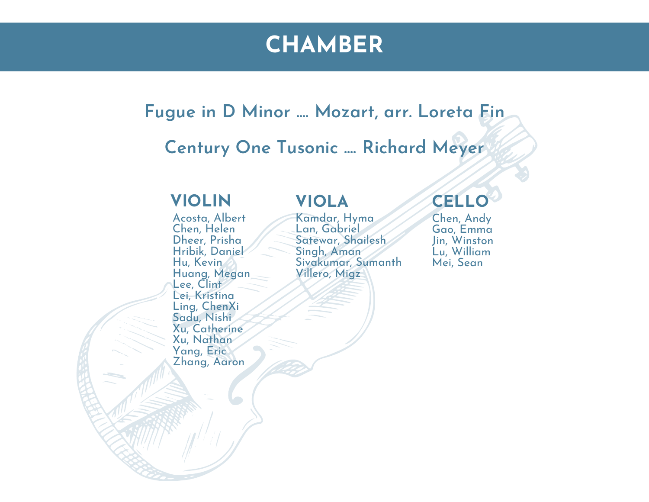## **CHAMBER**

#### **Fugue in D Minor .... Mozart, arr. Loreta Fin**

### **Century One Tusonic .... Richard Meyer**

#### **VIOLIN**

Acosta, Albert Chen, Helen Dheer, Prisha Hribik, Daniel Hu, Kevin Huang, Megan Lee, Clint Lei, Kristina Ling, ChenXi Sadu, Nishi Xu, Catherine Xu, Nathan Yang, Eric Zhang, Aaron

#### **VIOLA**

Kamdar, Hyma Lan, Gabriel Satewar, Shailesh Singh, Aman Sivakumar, Sumanth Villero, Migz

### **CELLO**

Chen, Andy Gao, Emma Jin, Winston Lu, William Mei, Sean